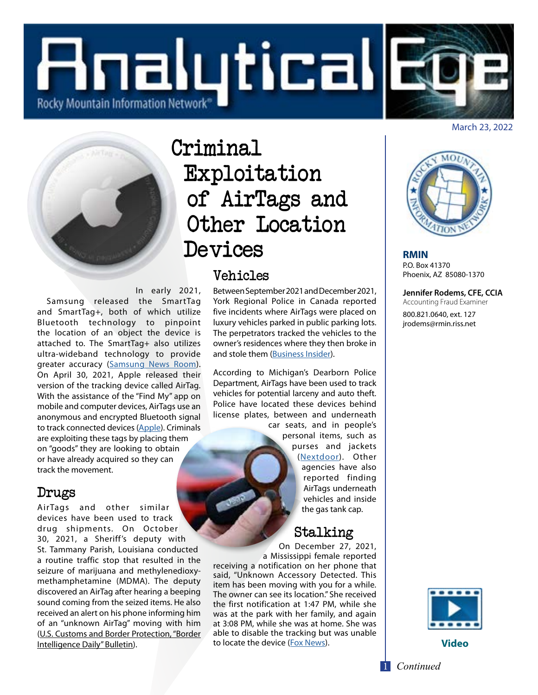



# Criminal Exploitation of AirTags and Other Location Devices

### Vehicles

In early 2021,

 Samsung released the SmartTag and SmartTag+, both of which utilize Bluetooth technology to pinpoint the location of an object the device is attached to. The SmartTag+ also utilizes ultra-wideband technology to provide greater accuracy (Samsung News Room). On April 30, 2021, Apple released their version of the tracking device called AirTag. With the assistance of the "Find My" app on mobile and computer devices, AirTags use an anonymous and encrypted Bluetooth signal to track connected devices (Apple). Criminals are exploiting these tags by placing them on "goods" they are looking to obtain or have already acquired so they can track the movement.

# Drugs

AirTags and other similar devices have been used to track drug shipments. On October 30, 2021, a Sheriff's deputy with St. Tammany Parish, Louisiana conducted a routine traffic stop that resulted in the seizure of marijuana and methylenedioxymethamphetamine (MDMA). The deputy discovered an AirTag after hearing a beeping sound coming from the seized items. He also received an alert on his phone informing him of an "unknown AirTag" moving with him (U.S. Customs and Border Protection, "Border Intelligence Daily" Bulletin).

Between September 2021 and December 2021, York Regional Police in Canada reported five incidents where AirTags were placed on luxury vehicles parked in public parking lots. The perpetrators tracked the vehicles to the owner's residences where they then broke in and stole them (Business Insider).

According to Michigan's Dearborn Police Department, AirTags have been used to track vehicles for potential larceny and auto theft. Police have located these devices behind license plates, between and underneath

car seats, and in people's personal items, such as purses and jackets (Nextdoor). Other agencies have also reported finding AirTags underneath vehicles and inside the gas tank cap.

# Stalking

On December 27, 2021, a Mississippi female reported

receiving a notification on her phone that said, "Unknown Accessory Detected. This item has been moving with you for a while. The owner can see its location." She received the first notification at 1:47 PM, while she was at the park with her family, and again at 3:08 PM, while she was at home. She was able to disable the tracking but was unable to locate the device (Fox News).



**RMIN** P.O. Box 41370 Phoenix, AZ 85080-1370

**Jennifer Rodems, CFE, CCIA**  Accounting Fraud Examiner

800.821.0640, ext. 127 jrodems@rmin.riss.net